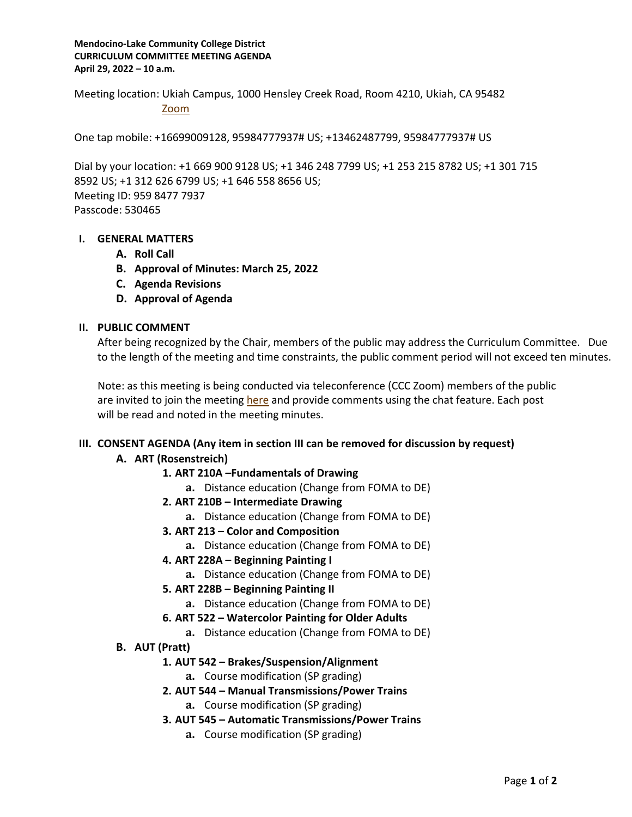#### **Mendocino‐Lake Community College District CURRICULUM COMMITTEE MEETING AGENDA April 29, 2022 – 10 a.m.**

Meeting location: Ukiah Campus, 1000 Hensley Creek Road, Room 4210, Ukiah, CA 95482 Zoom

One tap mobile: +16699009128, 95984777937# US; +13462487799, 95984777937# US

Dial by your location: +1 669 900 9128 US; +1 346 248 7799 US; +1 253 215 8782 US; +1 301 715 8592 US; +1 312 626 6799 US; +1 646 558 8656 US; Meeting ID: 959 8477 7937 Passcode: 530465

# **I. GENERAL MATTERS**

- **A. Roll Call**
- **B. Approval of Minutes: March 25, 2022**
- **C. Agenda Revisions**
- **D. Approval of Agenda**

# **II. PUBLIC COMMENT**

After being recognized by the Chair, members of the public may address the Curriculum Committee. Due to the length of the meeting and time constraints, the public comment period will not exceed ten minutes.

Note: as this meeting is being conducted via teleconference (CCC Zoom) members of the public are invited to join the meeting here and provide comments using the chat feature. Each post will be read and noted in the meeting minutes.

# **III. CONSENT AGENDA (Any item in section III can be removed for discussion by request)**

# **A. ART (Rosenstreich)**

- **1. ART 210A –Fundamentals of Drawing** 
	- **a.** Distance education (Change from FOMA to DE)
- **2. ART 210B – Intermediate Drawing**
	- **a.** Distance education (Change from FOMA to DE)
- **3. ART 213 – Color and Composition**
	- **a.** Distance education (Change from FOMA to DE)
- **4. ART 228A – Beginning Painting I**
	- **a.** Distance education (Change from FOMA to DE)
- **5. ART 228B – Beginning Painting II**
	- **a.** Distance education (Change from FOMA to DE)
- **6. ART 522 – Watercolor Painting for Older Adults**
	- **a.** Distance education (Change from FOMA to DE)
- **B. AUT (Pratt)**
	- **1. AUT 542 – Brakes/Suspension/Alignment**
		- **a.** Course modification (SP grading)
	- **2. AUT 544 – Manual Transmissions/Power Trains**
		- **a.** Course modification (SP grading)
	- **3. AUT 545 – Automatic Transmissions/Power Trains**
		- **a.** Course modification (SP grading)